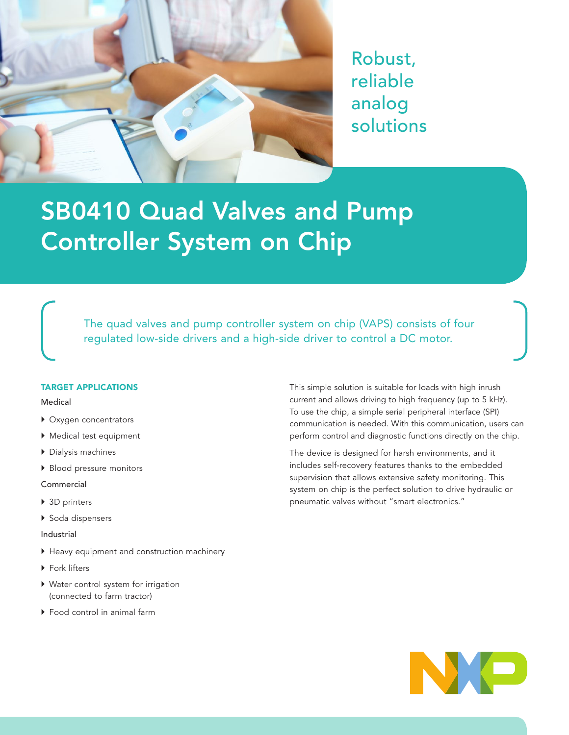

Robust, reliable analog solutions

# SB0410 Quad Valves and Pump Controller System on Chip

[The quad valves and pump controller system on chip \(VAPS\) consists of four](http://www.nxp.com/analog)  regulated low-side drivers and a high-side driver to control a DC motor.

### TARGET APPLICATIONS

#### Medical

- } Oxygen concentrators
- } Medical test equipment
- } Dialysis machines
- ▶ Blood pressure monitors

#### Commercial

- ▶ 3D printers
- ▶ Soda dispensers
- Industrial
- } Heavy equipment and construction machinery
- ▶ Fork lifters
- } Water control system for irrigation (connected to farm tractor)
- ▶ Food control in animal farm

This simple solution is suitable for loads with high inrush current and allows driving to high frequency (up to 5 kHz). To use the chip, a simple serial peripheral interface (SPI) communication is needed. With this communication, users can perform control and diagnostic functions directly on the chip.

The device is designed for harsh environments, and it includes self-recovery features thanks to the embedded supervision that allows extensive safety monitoring. This system on chip is the perfect solution to drive hydraulic or pneumatic valves without "smart electronics."

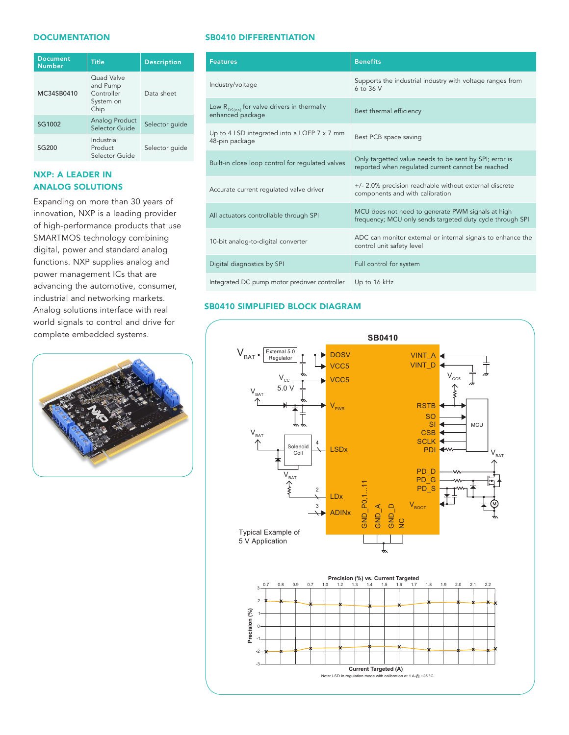#### **DOCUMENTATION**

| <b>Document</b><br><b>Number</b> | <b>Title</b>                                              | <b>Description</b> |
|----------------------------------|-----------------------------------------------------------|--------------------|
| MC34SB0410                       | Ouad Valve<br>and Pump<br>Controller<br>System on<br>Chip | Data sheet         |
| SG1002                           | Analog Product<br>Selector Guide                          | Selector quide     |
| SG200                            | Industrial<br>Product<br>Selector Guide                   | Selector quide     |

# NXP: A LEADER IN ANALOG SOLUTIONS

Expanding on more than 30 years of innovation, NXP is a leading provider of high-performance products that use SMARTMOS technology combining digital, power and standard analog functions. NXP supplies analog and power management ICs that are advancing the automotive, consumer, industrial and networking markets. Analog solutions interface with real world signals to control and drive for complete embedded systems.  $\mathcal{S}$  sumer,  $\mathcal{S}$  is the diagram of  $\mathcal{S}$ 



#### SB0410 DIFFERENTIATION

| <b>Features</b>                                                     | <b>Benefits</b>                                                                                                |
|---------------------------------------------------------------------|----------------------------------------------------------------------------------------------------------------|
| Industry/voltage                                                    | Supports the industrial industry with voltage ranges from<br>6 to 36 V                                         |
| Low $R_{DS(on)}$ for valve drivers in thermally<br>enhanced package | Best thermal efficiency                                                                                        |
| Up to 4 LSD integrated into a LQFP 7 x 7 mm<br>48-pin package       | Best PCB space saving                                                                                          |
| Built-in close loop control for regulated valves                    | Only targetted value needs to be sent by SPI; error is<br>reported when regulated current cannot be reached    |
| Accurate current regulated valve driver                             | +/- 2.0% precision reachable without external discrete<br>components and with calibration                      |
| All actuators controllable through SPI                              | MCU does not need to generate PWM signals at high<br>frequency; MCU only sends targeted duty cycle through SPI |
| 10-bit analog-to-digital converter                                  | ADC can monitor external or internal signals to enhance the<br>control unit safety level                       |
| Digital diagnostics by SPI                                          | Full control for system                                                                                        |
| Integrated DC pump motor predriver controller                       | Up to 16 kHz                                                                                                   |

# SB0410 SIMPLIFIED BLOCK DIAGRAM